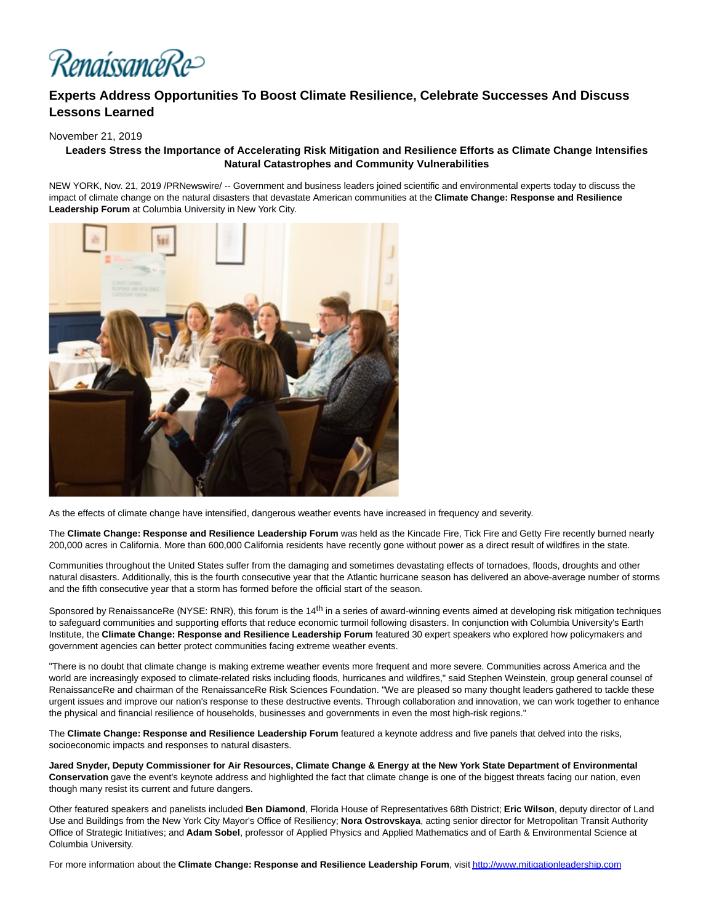RenaissanceRe>

# **Experts Address Opportunities To Boost Climate Resilience, Celebrate Successes And Discuss Lessons Learned**

## November 21, 2019

# **Leaders Stress the Importance of Accelerating Risk Mitigation and Resilience Efforts as Climate Change Intensifies Natural Catastrophes and Community Vulnerabilities**

NEW YORK, Nov. 21, 2019 /PRNewswire/ -- Government and business leaders joined scientific and environmental experts today to discuss the impact of climate change on the natural disasters that devastate American communities at the **Climate Change: Response and Resilience Leadership Forum** at Columbia University in New York City.



As the effects of climate change have intensified, dangerous weather events have increased in frequency and severity.

The **Climate Change: Response and Resilience Leadership Forum** was held as the Kincade Fire, Tick Fire and Getty Fire recently burned nearly 200,000 acres in California. More than 600,000 California residents have recently gone without power as a direct result of wildfires in the state.

Communities throughout the United States suffer from the damaging and sometimes devastating effects of tornadoes, floods, droughts and other natural disasters. Additionally, this is the fourth consecutive year that the Atlantic hurricane season has delivered an above-average number of storms and the fifth consecutive year that a storm has formed before the official start of the season.

Sponsored by RenaissanceRe (NYSE: RNR), this forum is the 14<sup>th</sup> in a series of award-winning events aimed at developing risk mitigation techniques to safeguard communities and supporting efforts that reduce economic turmoil following disasters. In conjunction with Columbia University's Earth Institute, the **Climate Change: Response and Resilience Leadership Forum** featured 30 expert speakers who explored how policymakers and government agencies can better protect communities facing extreme weather events.

"There is no doubt that climate change is making extreme weather events more frequent and more severe. Communities across America and the world are increasingly exposed to climate-related risks including floods, hurricanes and wildfires," said Stephen Weinstein, group general counsel of RenaissanceRe and chairman of the RenaissanceRe Risk Sciences Foundation. "We are pleased so many thought leaders gathered to tackle these urgent issues and improve our nation's response to these destructive events. Through collaboration and innovation, we can work together to enhance the physical and financial resilience of households, businesses and governments in even the most high-risk regions."

The **Climate Change: Response and Resilience Leadership Forum** featured a keynote address and five panels that delved into the risks, socioeconomic impacts and responses to natural disasters.

**Jared Snyder, Deputy Commissioner for Air Resources, Climate Change & Energy at the New York State Department of Environmental Conservation** gave the event's keynote address and highlighted the fact that climate change is one of the biggest threats facing our nation, even though many resist its current and future dangers.

Other featured speakers and panelists included **Ben Diamond**, Florida House of Representatives 68th District; **Eric Wilson**, deputy director of Land Use and Buildings from the New York City Mayor's Office of Resiliency; **Nora Ostrovskaya**, acting senior director for Metropolitan Transit Authority Office of Strategic Initiatives; and **Adam Sobel**, professor of Applied Physics and Applied Mathematics and of Earth & Environmental Science at Columbia University.

For more information about the **Climate Change: Response and Resilience Leadership Forum**, visi[t http://www.mitigationleadership.com](https://c212.net/c/link/?t=0&l=en&o=2650825-1&h=3202102516&u=http%3A%2F%2Fwww.mitigationleadership.com%2Fforum_info.cfm&a=http%3A%2F%2Fwww.mitigationleadership.com%2Fforum_info.cfm)